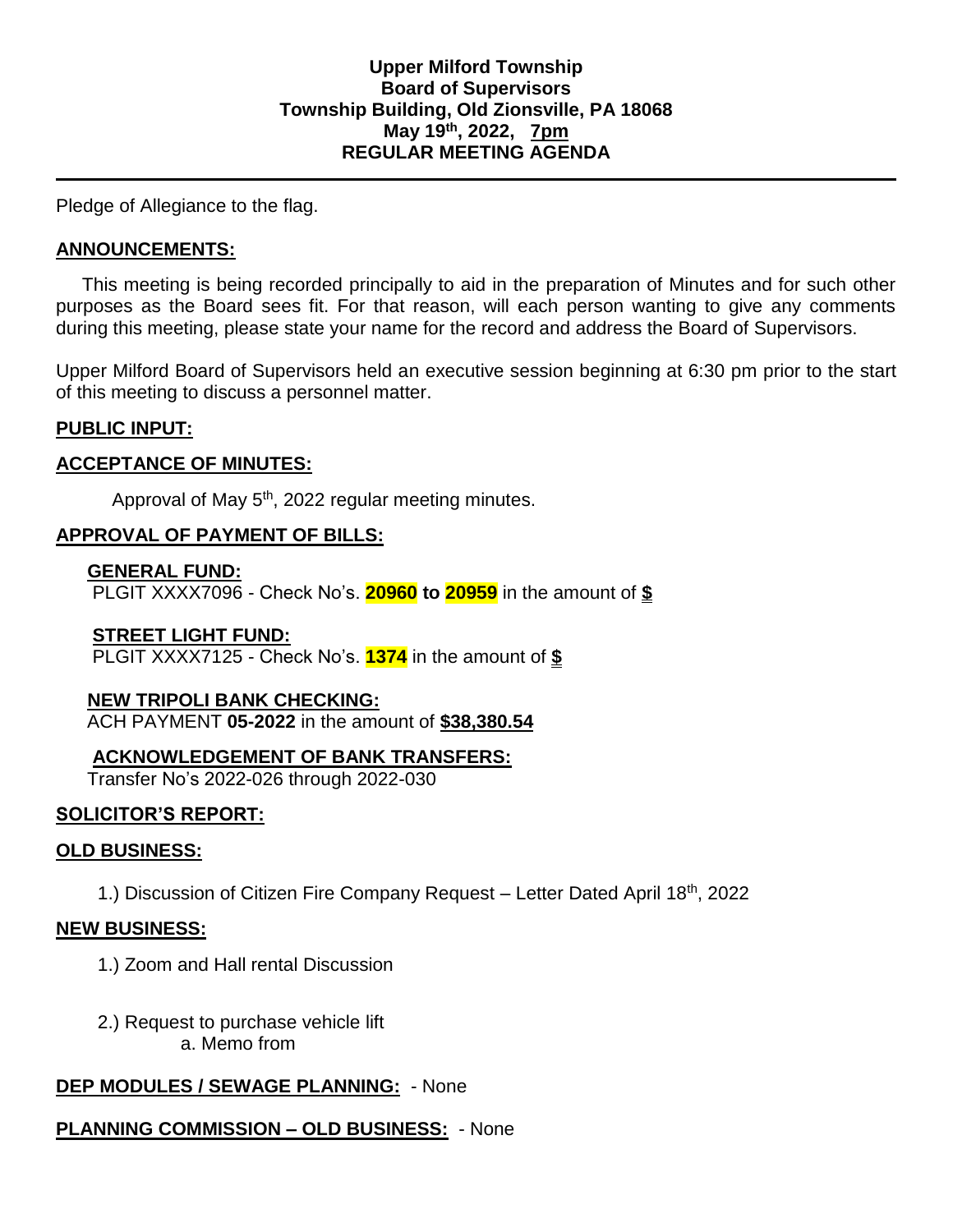Pledge of Allegiance to the flag.

### **ANNOUNCEMENTS:**

 This meeting is being recorded principally to aid in the preparation of Minutes and for such other purposes as the Board sees fit. For that reason, will each person wanting to give any comments during this meeting, please state your name for the record and address the Board of Supervisors.

Upper Milford Board of Supervisors held an executive session beginning at 6:30 pm prior to the start of this meeting to discuss a personnel matter.

#### **PUBLIC INPUT:**

#### **ACCEPTANCE OF MINUTES:**

Approval of May 5<sup>th</sup>, 2022 regular meeting minutes.

### **APPROVAL OF PAYMENT OF BILLS:**

#### **GENERAL FUND:**

PLGIT XXXX7096 - Check No's. **20960 to 20959** in the amount of **\$**

### **STREET LIGHT FUND:**

PLGIT XXXX7125 - Check No's. **1374** in the amount of **\$**

### **NEW TRIPOLI BANK CHECKING:**

ACH PAYMENT **05-2022** in the amount of **\$38,380.54**

### **ACKNOWLEDGEMENT OF BANK TRANSFERS:**

Transfer No's 2022-026 through 2022-030

### **SOLICITOR'S REPORT:**

#### **OLD BUSINESS:**

1.) Discussion of Citizen Fire Company Request – Letter Dated April 18th, 2022

#### **NEW BUSINESS:**

- 1.) Zoom and Hall rental Discussion
- 2.) Request to purchase vehicle lift a. Memo from

### **DEP MODULES / SEWAGE PLANNING:** - None

# **PLANNING COMMISSION – OLD BUSINESS:** - None